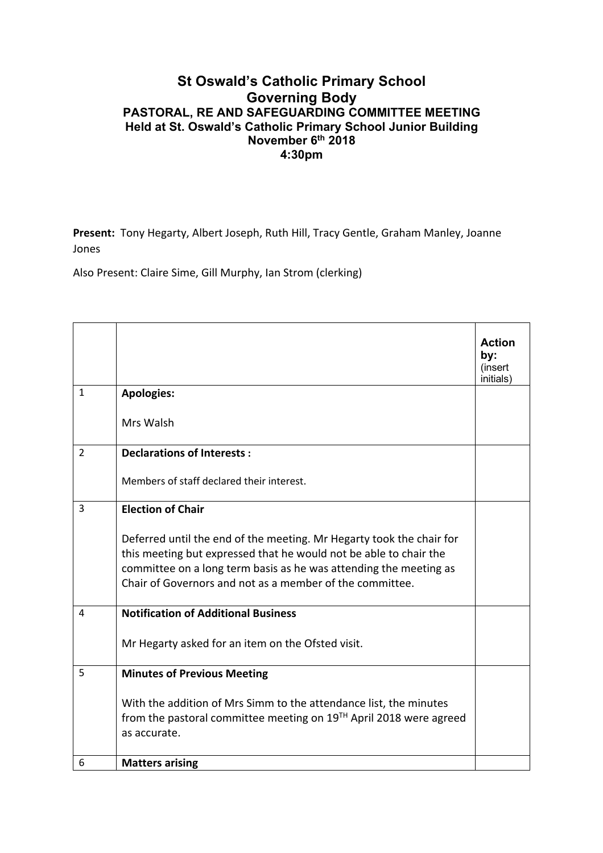## **St Oswald's Catholic Primary School Governing Body PASTORAL, RE AND SAFEGUARDING COMMITTEE MEETING Held at St. Oswald's Catholic Primary School Junior Building November 6th 2018 4:30pm**

**Present:** Tony Hegarty, Albert Joseph, Ruth Hill, Tracy Gentle, Graham Manley, Joanne Jones

Also Present: Claire Sime, Gill Murphy, Ian Strom (clerking)

|              |                                                                                                                                                                                                                                                                            | <b>Action</b><br>by:<br>(insert<br>initials) |
|--------------|----------------------------------------------------------------------------------------------------------------------------------------------------------------------------------------------------------------------------------------------------------------------------|----------------------------------------------|
| $\mathbf{1}$ | <b>Apologies:</b>                                                                                                                                                                                                                                                          |                                              |
|              | Mrs Walsh                                                                                                                                                                                                                                                                  |                                              |
| 2            | <b>Declarations of Interests:</b>                                                                                                                                                                                                                                          |                                              |
|              | Members of staff declared their interest.                                                                                                                                                                                                                                  |                                              |
| 3            | <b>Election of Chair</b>                                                                                                                                                                                                                                                   |                                              |
|              | Deferred until the end of the meeting. Mr Hegarty took the chair for<br>this meeting but expressed that he would not be able to chair the<br>committee on a long term basis as he was attending the meeting as<br>Chair of Governors and not as a member of the committee. |                                              |
| 4            | <b>Notification of Additional Business</b>                                                                                                                                                                                                                                 |                                              |
|              | Mr Hegarty asked for an item on the Ofsted visit.                                                                                                                                                                                                                          |                                              |
| 5            | <b>Minutes of Previous Meeting</b>                                                                                                                                                                                                                                         |                                              |
|              | With the addition of Mrs Simm to the attendance list, the minutes<br>from the pastoral committee meeting on $19TH$ April 2018 were agreed<br>as accurate.                                                                                                                  |                                              |
| 6            | <b>Matters arising</b>                                                                                                                                                                                                                                                     |                                              |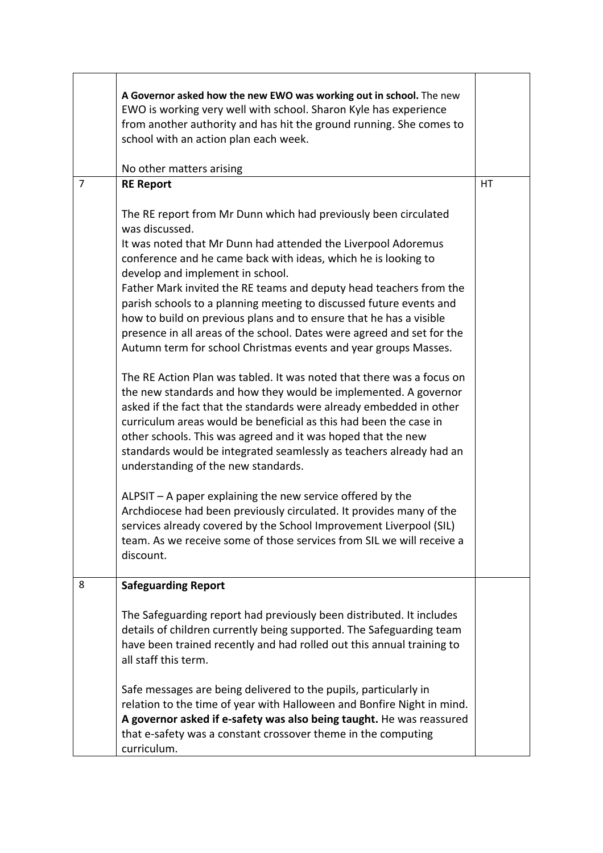|                | A Governor asked how the new EWO was working out in school. The new<br>EWO is working very well with school. Sharon Kyle has experience<br>from another authority and has hit the ground running. She comes to<br>school with an action plan each week.<br>No other matters arising                                                                                                                                                                                                                                                                                                                                                                                                                                                                                                                                                                                                                                                                                                                                                                                                                                                                                                                                                                                                                                                                                                             |    |
|----------------|-------------------------------------------------------------------------------------------------------------------------------------------------------------------------------------------------------------------------------------------------------------------------------------------------------------------------------------------------------------------------------------------------------------------------------------------------------------------------------------------------------------------------------------------------------------------------------------------------------------------------------------------------------------------------------------------------------------------------------------------------------------------------------------------------------------------------------------------------------------------------------------------------------------------------------------------------------------------------------------------------------------------------------------------------------------------------------------------------------------------------------------------------------------------------------------------------------------------------------------------------------------------------------------------------------------------------------------------------------------------------------------------------|----|
| $\overline{7}$ | <b>RE Report</b>                                                                                                                                                                                                                                                                                                                                                                                                                                                                                                                                                                                                                                                                                                                                                                                                                                                                                                                                                                                                                                                                                                                                                                                                                                                                                                                                                                                | HT |
|                | The RE report from Mr Dunn which had previously been circulated<br>was discussed.<br>It was noted that Mr Dunn had attended the Liverpool Adoremus<br>conference and he came back with ideas, which he is looking to<br>develop and implement in school.<br>Father Mark invited the RE teams and deputy head teachers from the<br>parish schools to a planning meeting to discussed future events and<br>how to build on previous plans and to ensure that he has a visible<br>presence in all areas of the school. Dates were agreed and set for the<br>Autumn term for school Christmas events and year groups Masses.<br>The RE Action Plan was tabled. It was noted that there was a focus on<br>the new standards and how they would be implemented. A governor<br>asked if the fact that the standards were already embedded in other<br>curriculum areas would be beneficial as this had been the case in<br>other schools. This was agreed and it was hoped that the new<br>standards would be integrated seamlessly as teachers already had an<br>understanding of the new standards.<br>ALPSIT - A paper explaining the new service offered by the<br>Archdiocese had been previously circulated. It provides many of the<br>services already covered by the School Improvement Liverpool (SIL)<br>team. As we receive some of those services from SIL we will receive a<br>discount. |    |
| 8              | <b>Safeguarding Report</b>                                                                                                                                                                                                                                                                                                                                                                                                                                                                                                                                                                                                                                                                                                                                                                                                                                                                                                                                                                                                                                                                                                                                                                                                                                                                                                                                                                      |    |
|                | The Safeguarding report had previously been distributed. It includes<br>details of children currently being supported. The Safeguarding team<br>have been trained recently and had rolled out this annual training to<br>all staff this term.<br>Safe messages are being delivered to the pupils, particularly in<br>relation to the time of year with Halloween and Bonfire Night in mind.<br>A governor asked if e-safety was also being taught. He was reassured                                                                                                                                                                                                                                                                                                                                                                                                                                                                                                                                                                                                                                                                                                                                                                                                                                                                                                                             |    |
|                | that e-safety was a constant crossover theme in the computing<br>curriculum.                                                                                                                                                                                                                                                                                                                                                                                                                                                                                                                                                                                                                                                                                                                                                                                                                                                                                                                                                                                                                                                                                                                                                                                                                                                                                                                    |    |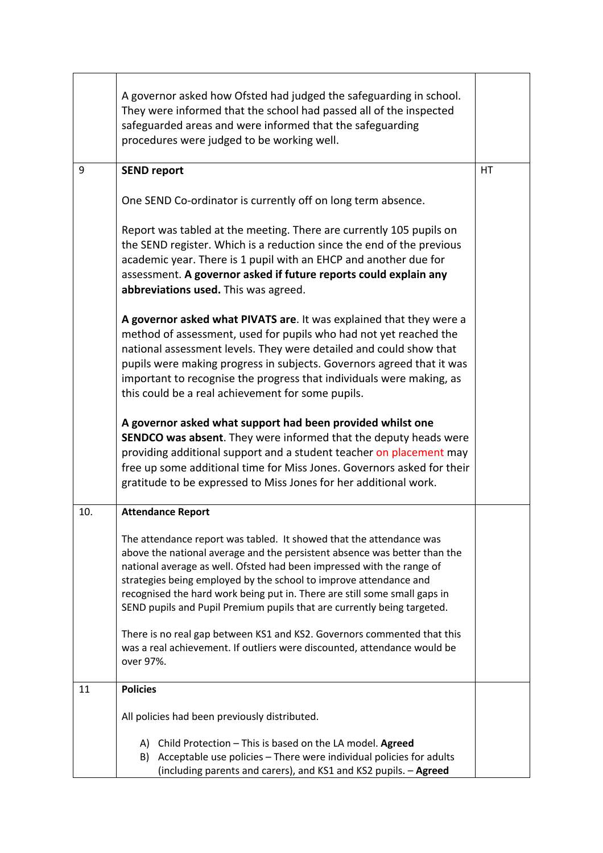|     | A governor asked how Ofsted had judged the safeguarding in school.<br>They were informed that the school had passed all of the inspected<br>safeguarded areas and were informed that the safeguarding<br>procedures were judged to be working well.                                                                                                                                                                                                    |    |  |
|-----|--------------------------------------------------------------------------------------------------------------------------------------------------------------------------------------------------------------------------------------------------------------------------------------------------------------------------------------------------------------------------------------------------------------------------------------------------------|----|--|
| 9   | <b>SEND report</b>                                                                                                                                                                                                                                                                                                                                                                                                                                     | HT |  |
|     | One SEND Co-ordinator is currently off on long term absence.                                                                                                                                                                                                                                                                                                                                                                                           |    |  |
|     | Report was tabled at the meeting. There are currently 105 pupils on<br>the SEND register. Which is a reduction since the end of the previous<br>academic year. There is 1 pupil with an EHCP and another due for<br>assessment. A governor asked if future reports could explain any<br>abbreviations used. This was agreed.                                                                                                                           |    |  |
|     | A governor asked what PIVATS are. It was explained that they were a<br>method of assessment, used for pupils who had not yet reached the<br>national assessment levels. They were detailed and could show that<br>pupils were making progress in subjects. Governors agreed that it was<br>important to recognise the progress that individuals were making, as<br>this could be a real achievement for some pupils.                                   |    |  |
|     | A governor asked what support had been provided whilst one<br><b>SENDCO was absent.</b> They were informed that the deputy heads were<br>providing additional support and a student teacher on placement may<br>free up some additional time for Miss Jones. Governors asked for their<br>gratitude to be expressed to Miss Jones for her additional work.                                                                                             |    |  |
| 10. | <b>Attendance Report</b>                                                                                                                                                                                                                                                                                                                                                                                                                               |    |  |
|     | The attendance report was tabled. It showed that the attendance was<br>above the national average and the persistent absence was better than the<br>national average as well. Ofsted had been impressed with the range of<br>strategies being employed by the school to improve attendance and<br>recognised the hard work being put in. There are still some small gaps in<br>SEND pupils and Pupil Premium pupils that are currently being targeted. |    |  |
|     | There is no real gap between KS1 and KS2. Governors commented that this<br>was a real achievement. If outliers were discounted, attendance would be<br>over 97%.                                                                                                                                                                                                                                                                                       |    |  |
| 11  | <b>Policies</b>                                                                                                                                                                                                                                                                                                                                                                                                                                        |    |  |
|     | All policies had been previously distributed.                                                                                                                                                                                                                                                                                                                                                                                                          |    |  |
|     | A) Child Protection - This is based on the LA model. Agreed<br>Acceptable use policies - There were individual policies for adults<br>B)<br>(including parents and carers), and KS1 and KS2 pupils. - Agreed                                                                                                                                                                                                                                           |    |  |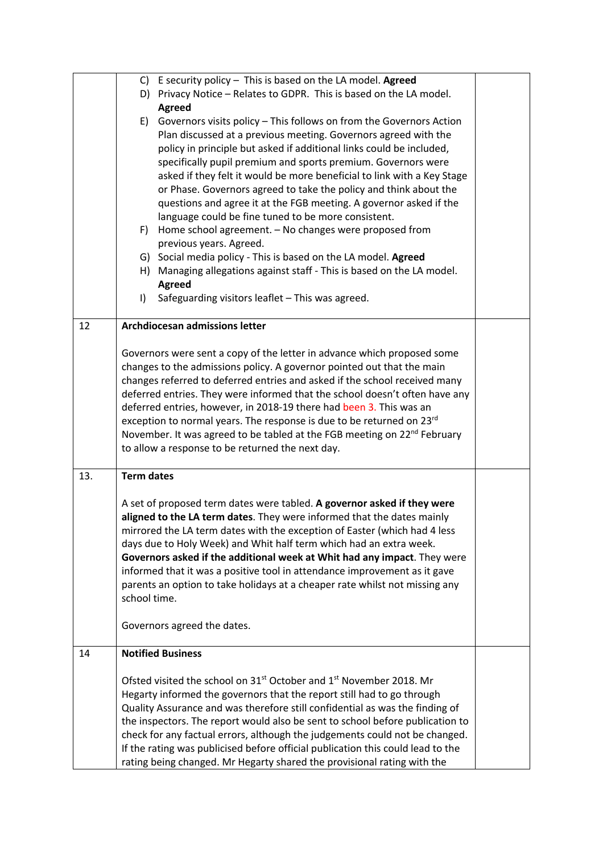|     |                   | C) E security policy $-$ This is based on the LA model. Agreed<br>D) Privacy Notice - Relates to GDPR. This is based on the LA model.                          |  |
|-----|-------------------|----------------------------------------------------------------------------------------------------------------------------------------------------------------|--|
|     |                   | <b>Agreed</b>                                                                                                                                                  |  |
|     | E)                | Governors visits policy - This follows on from the Governors Action                                                                                            |  |
|     |                   | Plan discussed at a previous meeting. Governors agreed with the                                                                                                |  |
|     |                   | policy in principle but asked if additional links could be included,<br>specifically pupil premium and sports premium. Governors were                          |  |
|     |                   | asked if they felt it would be more beneficial to link with a Key Stage                                                                                        |  |
|     |                   | or Phase. Governors agreed to take the policy and think about the                                                                                              |  |
|     |                   | questions and agree it at the FGB meeting. A governor asked if the                                                                                             |  |
|     |                   | language could be fine tuned to be more consistent.                                                                                                            |  |
|     | F)                | Home school agreement. - No changes were proposed from                                                                                                         |  |
|     |                   | previous years. Agreed.<br>G) Social media policy - This is based on the LA model. Agreed                                                                      |  |
|     |                   | H) Managing allegations against staff - This is based on the LA model.                                                                                         |  |
|     |                   | <b>Agreed</b>                                                                                                                                                  |  |
|     | $\vert$           | Safeguarding visitors leaflet - This was agreed.                                                                                                               |  |
| 12  |                   | <b>Archdiocesan admissions letter</b>                                                                                                                          |  |
|     |                   |                                                                                                                                                                |  |
|     |                   | Governors were sent a copy of the letter in advance which proposed some<br>changes to the admissions policy. A governor pointed out that the main              |  |
|     |                   | changes referred to deferred entries and asked if the school received many                                                                                     |  |
|     |                   | deferred entries. They were informed that the school doesn't often have any                                                                                    |  |
|     |                   | deferred entries, however, in 2018-19 there had been 3. This was an                                                                                            |  |
|     |                   | exception to normal years. The response is due to be returned on 23rd                                                                                          |  |
|     |                   | November. It was agreed to be tabled at the FGB meeting on 22 <sup>nd</sup> February<br>to allow a response to be returned the next day.                       |  |
|     |                   |                                                                                                                                                                |  |
| 13. | <b>Term dates</b> |                                                                                                                                                                |  |
|     |                   | A set of proposed term dates were tabled. A governor asked if they were                                                                                        |  |
|     |                   | aligned to the LA term dates. They were informed that the dates mainly                                                                                         |  |
|     |                   | mirrored the LA term dates with the exception of Easter (which had 4 less                                                                                      |  |
|     |                   | days due to Holy Week) and Whit half term which had an extra week.<br>Governors asked if the additional week at Whit had any impact. They were                 |  |
|     |                   | informed that it was a positive tool in attendance improvement as it gave                                                                                      |  |
|     |                   | parents an option to take holidays at a cheaper rate whilst not missing any                                                                                    |  |
|     | school time.      |                                                                                                                                                                |  |
|     |                   | Governors agreed the dates.                                                                                                                                    |  |
| 14  |                   | <b>Notified Business</b>                                                                                                                                       |  |
|     |                   | Ofsted visited the school on 31 <sup>st</sup> October and 1 <sup>st</sup> November 2018. Mr                                                                    |  |
|     |                   | Hegarty informed the governors that the report still had to go through                                                                                         |  |
|     |                   | Quality Assurance and was therefore still confidential as was the finding of                                                                                   |  |
|     |                   | the inspectors. The report would also be sent to school before publication to                                                                                  |  |
|     |                   | check for any factual errors, although the judgements could not be changed.<br>If the rating was publicised before official publication this could lead to the |  |
|     |                   | rating being changed. Mr Hegarty shared the provisional rating with the                                                                                        |  |